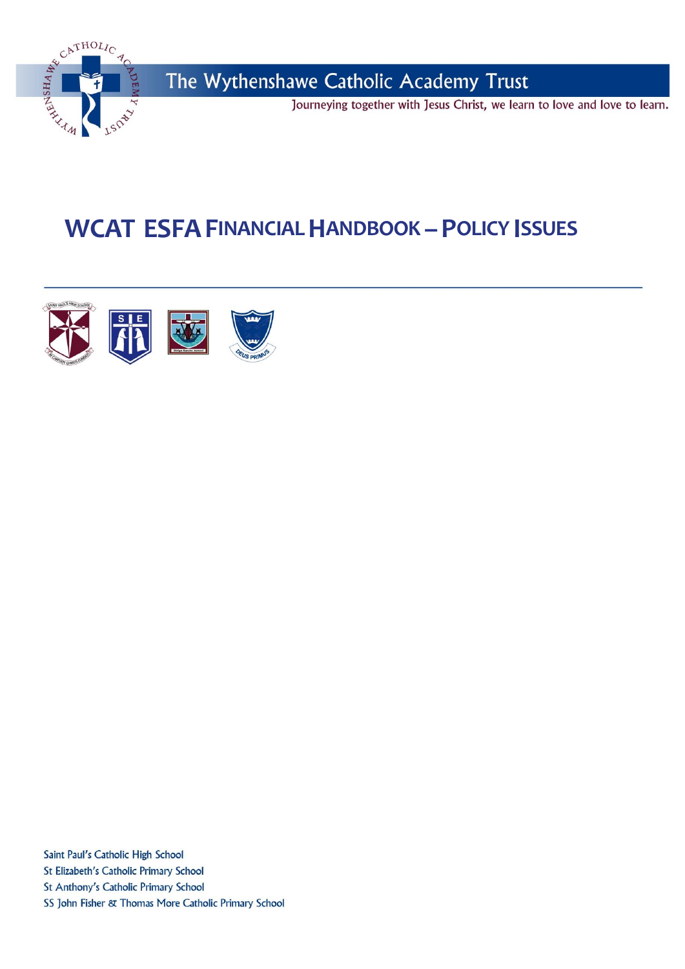

# **WCAT ESFAFINANCIAL HANDBOOK –POLICY ISSUES**



Saint Paul's Catholic High School St Elizabeth's Catholic Primary School St Anthony's Catholic Primary School SS John Fisher & Thomas More Catholic Primary School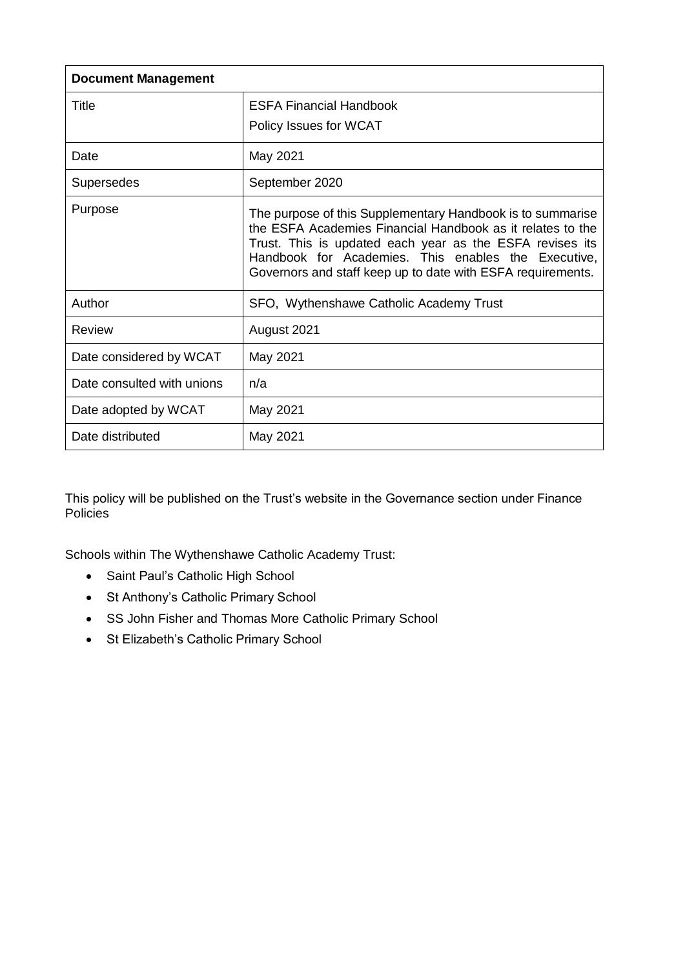| <b>Document Management</b> |                                                                                                                                                                                                                                                                                                            |  |  |
|----------------------------|------------------------------------------------------------------------------------------------------------------------------------------------------------------------------------------------------------------------------------------------------------------------------------------------------------|--|--|
| Title                      | <b>ESFA Financial Handbook</b>                                                                                                                                                                                                                                                                             |  |  |
|                            | Policy Issues for WCAT                                                                                                                                                                                                                                                                                     |  |  |
| Date                       | May 2021                                                                                                                                                                                                                                                                                                   |  |  |
| Supersedes                 | September 2020                                                                                                                                                                                                                                                                                             |  |  |
| Purpose                    | The purpose of this Supplementary Handbook is to summarise<br>the ESFA Academies Financial Handbook as it relates to the<br>Trust. This is updated each year as the ESFA revises its<br>Handbook for Academies. This enables the Executive,<br>Governors and staff keep up to date with ESFA requirements. |  |  |
| Author                     | SFO, Wythenshawe Catholic Academy Trust                                                                                                                                                                                                                                                                    |  |  |
| Review                     | August 2021                                                                                                                                                                                                                                                                                                |  |  |
| Date considered by WCAT    | May 2021                                                                                                                                                                                                                                                                                                   |  |  |
| Date consulted with unions | n/a                                                                                                                                                                                                                                                                                                        |  |  |
| Date adopted by WCAT       | May 2021                                                                                                                                                                                                                                                                                                   |  |  |
| Date distributed           | May 2021                                                                                                                                                                                                                                                                                                   |  |  |

This policy will be published on the Trust's website in the Governance section under Finance Policies

Schools within The Wythenshawe Catholic Academy Trust:

- Saint Paul's Catholic High School
- St Anthony's Catholic Primary School
- SS John Fisher and Thomas More Catholic Primary School
- St Elizabeth's Catholic Primary School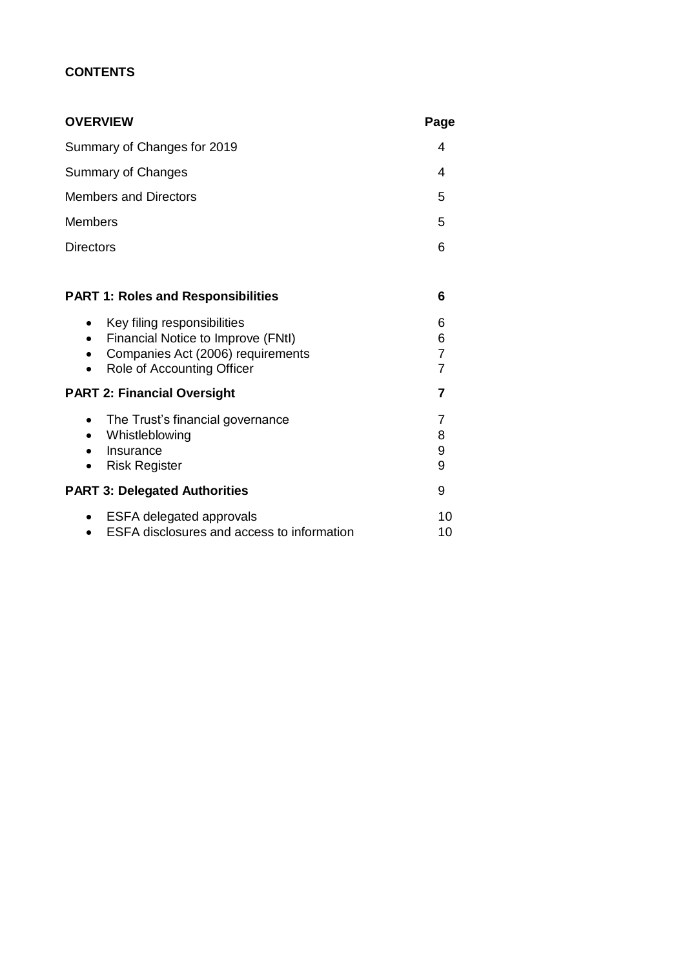# **CONTENTS**

| <b>OVERVIEW</b>                                                                                                                                                             | Page                                       |
|-----------------------------------------------------------------------------------------------------------------------------------------------------------------------------|--------------------------------------------|
| Summary of Changes for 2019                                                                                                                                                 | 4                                          |
| <b>Summary of Changes</b>                                                                                                                                                   | 4                                          |
| <b>Members and Directors</b>                                                                                                                                                | 5                                          |
| <b>Members</b>                                                                                                                                                              | 5                                          |
| Directors                                                                                                                                                                   | 6                                          |
| <b>PART 1: Roles and Responsibilities</b>                                                                                                                                   | 6                                          |
| Key filing responsibilities<br>$\bullet$<br>Financial Notice to Improve (FNtI)<br>$\bullet$<br>Companies Act (2006) requirements<br>Role of Accounting Officer<br>$\bullet$ | 6<br>6<br>$\overline{7}$<br>$\overline{7}$ |
| <b>PART 2: Financial Oversight</b>                                                                                                                                          | 7                                          |
| The Trust's financial governance<br>$\bullet$<br>Whistleblowing<br>$\bullet$<br>Insurance<br><b>Risk Register</b><br>$\bullet$                                              | 7<br>8<br>9<br>9                           |
| <b>PART 3: Delegated Authorities</b>                                                                                                                                        | 9                                          |
| <b>ESFA delegated approvals</b><br>$\bullet$<br>ESFA disclosures and access to information                                                                                  | 10<br>10                                   |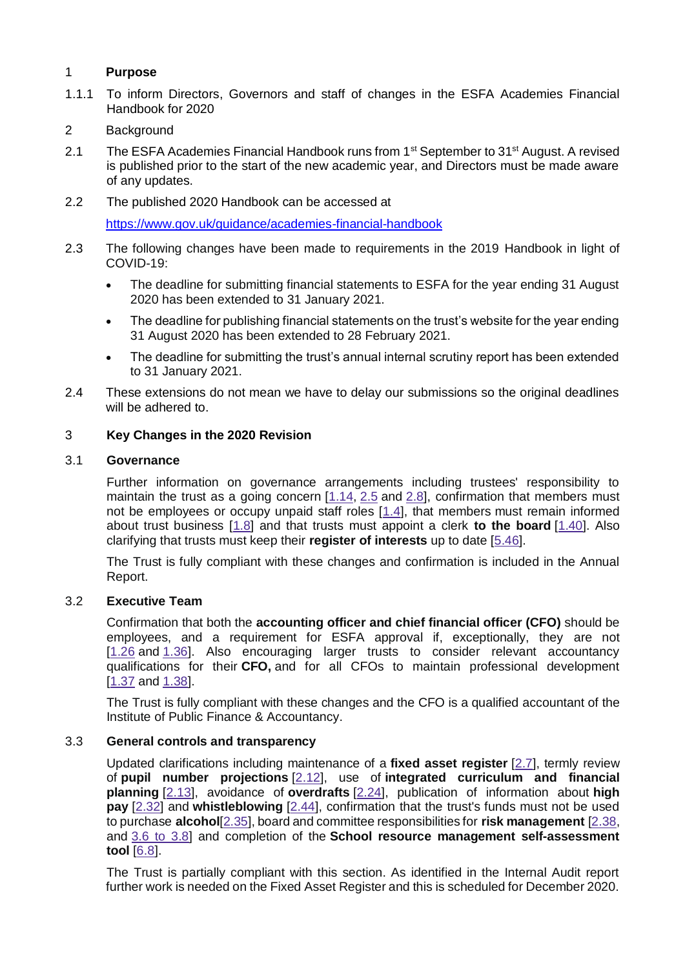#### 1 **Purpose**

- 1.1.1 To inform Directors, Governors and staff of changes in the ESFA Academies Financial Handbook for 2020
- 2 Background
- 2.1 The ESFA Academies Financial Handbook runs from 1<sup>st</sup> September to 31<sup>st</sup> August. A revised is published prior to the start of the new academic year, and Directors must be made aware of any updates.
- 2.2 The published 2020 Handbook can be accessed at

<https://www.gov.uk/guidance/academies-financial-handbook>

- 2.3 The following changes have been made to requirements in the 2019 Handbook in light of COVID-19:
	- The deadline for submitting financial statements to ESFA for the year ending 31 August 2020 has been extended to 31 January 2021.
	- The deadline for publishing financial statements on the trust's website for the year ending 31 August 2020 has been extended to 28 February 2021.
	- The deadline for submitting the trust's annual internal scrutiny report has been extended to 31 January 2021.
- 2.4 These extensions do not mean we have to delay our submissions so the original deadlines will be adhered to.

## 3 **Key Changes in the 2020 Revision**

#### 3.1 **Governance**

Further information on governance arrangements including trustees' responsibility to maintain the trust as a going concern  $[1.14, 2.5]$  $[1.14, 2.5]$  $[1.14, 2.5]$  $[1.14, 2.5]$  and  $[2.8]$  $[2.8]$ , confirmation that members must not be employees or occupy unpaid staff roles [\[1.4\]](https://www.gov.uk/guidance/academies-financial-handbook/part-1-roles-and-responsibilities#nbsp-nbsp-members), that members must remain informed about trust business [\[1.8\]](https://www.gov.uk/guidance/academies-financial-handbook/part-1-roles-and-responsibilities#nbsp-nbsp-members) and that trusts must appoint a clerk **to the board** [\[1.40\]](https://www.gov.uk/guidance/academies-financial-handbook/part-1-roles-and-responsibilities#nbsp-nbsp-the-clerk-to-the-board). Also clarifying that trusts must keep their **register of interests** up to date [\[5.46\]](https://www.gov.uk/guidance/academies-financial-handbook/part-5-delegated-authorities#nbsp-nbsp-related-party-transactions).

The Trust is fully compliant with these changes and confirmation is included in the Annual Report.

#### 3.2 **Executive Team**

Confirmation that both the **accounting officer and chief financial officer (CFO)** should be employees, and a requirement for ESFA approval if, exceptionally, they are not [\[1.26](https://www.gov.uk/guidance/academies-financial-handbook/part-1-roles-and-responsibilities#nbsp-nbsp-the-accounting-officer) and [1.36\]](https://www.gov.uk/guidance/academies-financial-handbook/part-1-roles-and-responsibilities#nbsp-nbsp-the-chief-financial-officer). Also encouraging larger trusts to consider relevant accountancy qualifications for their **CFO,** and for all CFOs to maintain professional development [\[1.37](https://www.gov.uk/guidance/academies-financial-handbook/part-1-roles-and-responsibilities#nbsp-nbsp-the-chief-financial-officer) and [1.38\]](https://www.gov.uk/guidance/academies-financial-handbook/part-1-roles-and-responsibilities#nbsp-nbsp-the-chief-financial-officer).

The Trust is fully compliant with these changes and the CFO is a qualified accountant of the Institute of Public Finance & Accountancy.

#### 3.3 **General controls and transparency**

Updated clarifications including maintenance of a **fixed asset register** [\[2.7\]](https://www.gov.uk/guidance/academies-financial-handbook/part-2-main-financial-requirements#nbsp-nbsp-basic-control-principles), termly review of **pupil number projections** [\[2.12\]](https://www.gov.uk/guidance/academies-financial-handbook/part-2-main-financial-requirements#nbsp-nbsp-financial-planning), use of **integrated curriculum and financial planning** [\[2.13\]](https://www.gov.uk/guidance/academies-financial-handbook/part-2-main-financial-requirements#nbsp-nbsp-financial-planning), avoidance of **overdrafts** [\[2.24\]](https://www.gov.uk/guidance/academies-financial-handbook/part-2-main-financial-requirements#nbsp-nbsp-financial-planning), publication of information about **high pay** [\[2.32\]](https://www.gov.uk/guidance/academies-financial-handbook/part-2-main-financial-requirements#nbsp-nbsp-procurement-and-spending-decisions) and **whistleblowing** [\[2.44\]](https://www.gov.uk/guidance/academies-financial-handbook/part-2-main-financial-requirements#nbsp-nbsp-whistleblowing), confirmation that the trust's funds must not be used to purchase **alcohol**[\[2.35\]](https://www.gov.uk/guidance/academies-financial-handbook/part-2-main-financial-requirements#nbsp-nbsp-procurement-and-spending-decisions), board and committee responsibilities for **risk management** [\[2.38,](https://www.gov.uk/guidance/academies-financial-handbook/part-2-main-financial-requirements#nbsp-nbsp-risk-management) and 3.6 to [3.8\]](https://www.gov.uk/guidance/academies-financial-handbook/part-3-internal-scrutiny#nbsp-nbsp-directing-internal-scrutiny---the-audit-and-risk-committee) and completion of the **School resource management self-assessment tool** [\[6.8\]](https://www.gov.uk/guidance/academies-financial-handbook/part-6-the-regulator-and-intervention#nbsp-nbsp-school-resource-management-self-assessment-tool).

The Trust is partially compliant with this section. As identified in the Internal Audit report further work is needed on the Fixed Asset Register and this is scheduled for December 2020.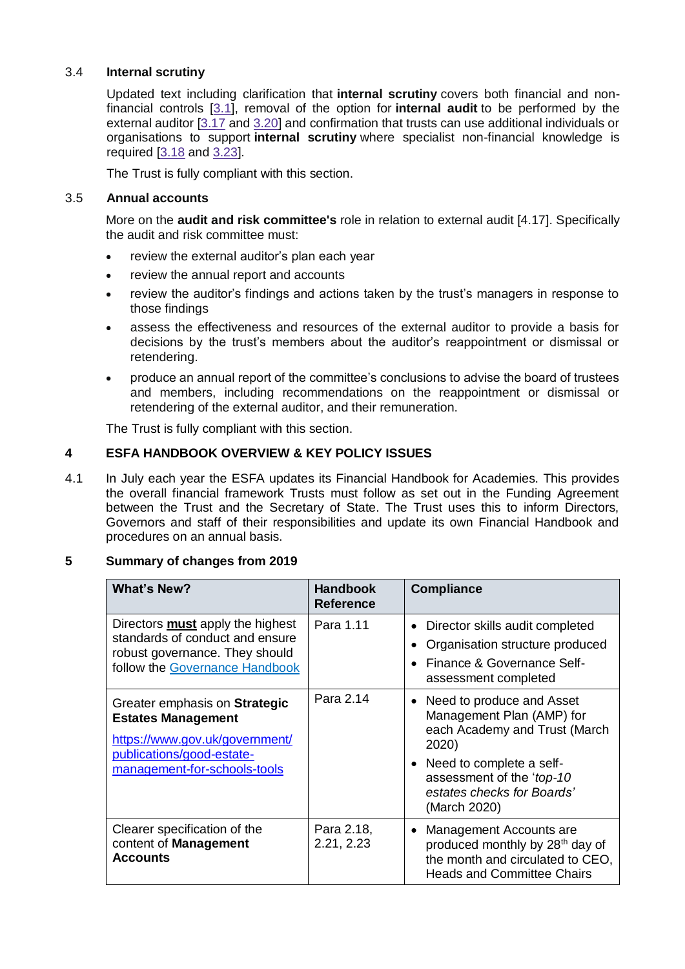## 3.4 **Internal scrutiny**

Updated text including clarification that **internal scrutiny** covers both financial and nonfinancial controls [\[3.1\]](https://www.gov.uk/guidance/academies-financial-handbook/part-3-internal-scrutiny#nbsp-nbsp-purpose-of-internal-scrutiny), removal of the option for **internal audit** to be performed by the external auditor [\[3.17](https://www.gov.uk/guidance/academies-financial-handbook/part-3-internal-scrutiny#nbsp-nbsp-delivering-internal-scrutiny) and [3.20\]](https://www.gov.uk/guidance/academies-financial-handbook/part-3-internal-scrutiny#nbsp-nbsp-delivering-internal-scrutiny) and confirmation that trusts can use additional individuals or organisations to support **internal scrutiny** where specialist non-financial knowledge is required [\[3.18](https://www.gov.uk/guidance/academies-financial-handbook/part-3-internal-scrutiny#nbsp-nbsp-delivering-internal-scrutiny) and [3.23\]](https://www.gov.uk/guidance/academies-financial-handbook/part-3-internal-scrutiny#nbsp-nbsp-delivering-internal-scrutiny).

The Trust is fully compliant with this section.

### 3.5 **Annual accounts**

More on the **audit and risk committee's** role in relation to external audit [4.17]. Specifically the audit and risk committee must:

- review the external auditor's plan each year
- review the annual report and accounts
- review the auditor's findings and actions taken by the trust's managers in response to those findings
- assess the effectiveness and resources of the external auditor to provide a basis for decisions by the trust's members about the auditor's reappointment or dismissal or retendering.
- produce an annual report of the committee's conclusions to advise the board of trustees and members, including recommendations on the reappointment or dismissal or retendering of the external auditor, and their remuneration.

The Trust is fully compliant with this section.

## **4 ESFA HANDBOOK OVERVIEW & KEY POLICY ISSUES**

4.1 In July each year the ESFA updates its Financial Handbook for Academies. This provides the overall financial framework Trusts must follow as set out in the Funding Agreement between the Trust and the Secretary of State. The Trust uses this to inform Directors, Governors and staff of their responsibilities and update its own Financial Handbook and procedures on an annual basis.

#### **5 Summary of changes from 2019**

| <b>What's New?</b>                                                                                                                                        | <b>Handbook</b><br><b>Reference</b> | <b>Compliance</b>                                                                                                                                                                                                    |
|-----------------------------------------------------------------------------------------------------------------------------------------------------------|-------------------------------------|----------------------------------------------------------------------------------------------------------------------------------------------------------------------------------------------------------------------|
| Directors <b>must</b> apply the highest<br>standards of conduct and ensure<br>robust governance. They should<br>follow the Governance Handbook            | Para 1.11                           | Director skills audit completed<br>Organisation structure produced<br>Finance & Governance Self-<br>assessment completed                                                                                             |
| Greater emphasis on Strategic<br><b>Estates Management</b><br>https://www.gov.uk/government/<br>publications/good-estate-<br>management-for-schools-tools | Para 2.14                           | Need to produce and Asset<br>$\bullet$<br>Management Plan (AMP) for<br>each Academy and Trust (March<br>2020)<br>Need to complete a self-<br>assessment of the 'top-10<br>estates checks for Boards'<br>(March 2020) |
| Clearer specification of the<br>content of Management<br><b>Accounts</b>                                                                                  | Para 2.18,<br>2.21, 2.23            | Management Accounts are<br>$\bullet$<br>produced monthly by 28 <sup>th</sup> day of<br>the month and circulated to CEO,<br><b>Heads and Committee Chairs</b>                                                         |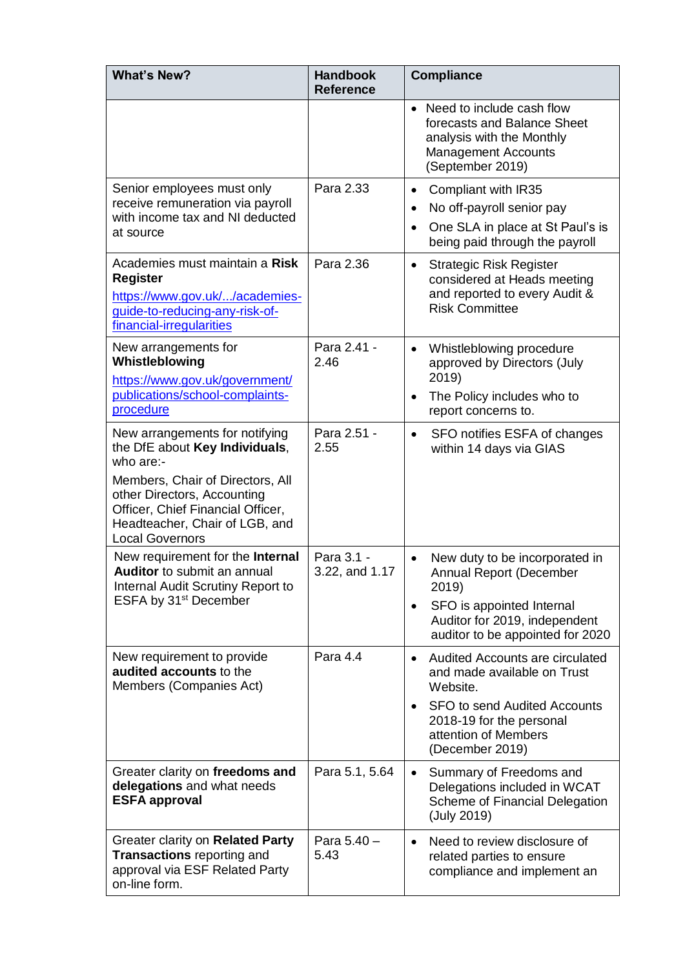| <b>What's New?</b>                                                                                                                                                                                                                                | <b>Handbook</b><br><b>Reference</b> | <b>Compliance</b>                                                                                                                                                                                                         |
|---------------------------------------------------------------------------------------------------------------------------------------------------------------------------------------------------------------------------------------------------|-------------------------------------|---------------------------------------------------------------------------------------------------------------------------------------------------------------------------------------------------------------------------|
|                                                                                                                                                                                                                                                   |                                     | • Need to include cash flow<br>forecasts and Balance Sheet<br>analysis with the Monthly<br><b>Management Accounts</b><br>(September 2019)                                                                                 |
| Senior employees must only<br>receive remuneration via payroll<br>with income tax and NI deducted<br>at source                                                                                                                                    | Para 2.33                           | Compliant with IR35<br>$\bullet$<br>No off-payroll senior pay<br>$\bullet$<br>One SLA in place at St Paul's is<br>$\bullet$<br>being paid through the payroll                                                             |
| Academies must maintain a Risk<br><b>Register</b><br>https://www.gov.uk//academies-<br>guide-to-reducing-any-risk-of-<br>financial-irregularities                                                                                                 | Para 2.36                           | <b>Strategic Risk Register</b><br>$\bullet$<br>considered at Heads meeting<br>and reported to every Audit &<br><b>Risk Committee</b>                                                                                      |
| New arrangements for<br>Whistleblowing<br>https://www.gov.uk/government/<br>publications/school-complaints-<br>procedure                                                                                                                          | Para 2.41 -<br>2.46                 | Whistleblowing procedure<br>$\bullet$<br>approved by Directors (July<br>2019)<br>The Policy includes who to<br>$\bullet$<br>report concerns to.                                                                           |
| New arrangements for notifying<br>the DfE about Key Individuals,<br>who are:-<br>Members, Chair of Directors, All<br>other Directors, Accounting<br>Officer, Chief Financial Officer,<br>Headteacher, Chair of LGB, and<br><b>Local Governors</b> | Para 2.51 -<br>2.55                 | SFO notifies ESFA of changes<br>$\bullet$<br>within 14 days via GIAS                                                                                                                                                      |
| New requirement for the Internal<br><b>Auditor</b> to submit an annual<br>Internal Audit Scrutiny Report to<br>ESFA by 31 <sup>st</sup> December                                                                                                  | Para 3.1 -<br>3.22, and 1.17        | New duty to be incorporated in<br>$\bullet$<br><b>Annual Report (December</b><br>2019)<br>SFO is appointed Internal<br>$\bullet$<br>Auditor for 2019, independent<br>auditor to be appointed for 2020                     |
| New requirement to provide<br>audited accounts to the<br>Members (Companies Act)                                                                                                                                                                  | Para 4.4                            | <b>Audited Accounts are circulated</b><br>$\bullet$<br>and made available on Trust<br>Website.<br><b>SFO to send Audited Accounts</b><br>$\bullet$<br>2018-19 for the personal<br>attention of Members<br>(December 2019) |
| Greater clarity on freedoms and<br>delegations and what needs<br><b>ESFA approval</b>                                                                                                                                                             | Para 5.1, 5.64                      | Summary of Freedoms and<br>$\bullet$<br>Delegations included in WCAT<br>Scheme of Financial Delegation<br>(July 2019)                                                                                                     |
| Greater clarity on Related Party<br><b>Transactions reporting and</b><br>approval via ESF Related Party<br>on-line form.                                                                                                                          | Para 5.40 -<br>5.43                 | Need to review disclosure of<br>$\bullet$<br>related parties to ensure<br>compliance and implement an                                                                                                                     |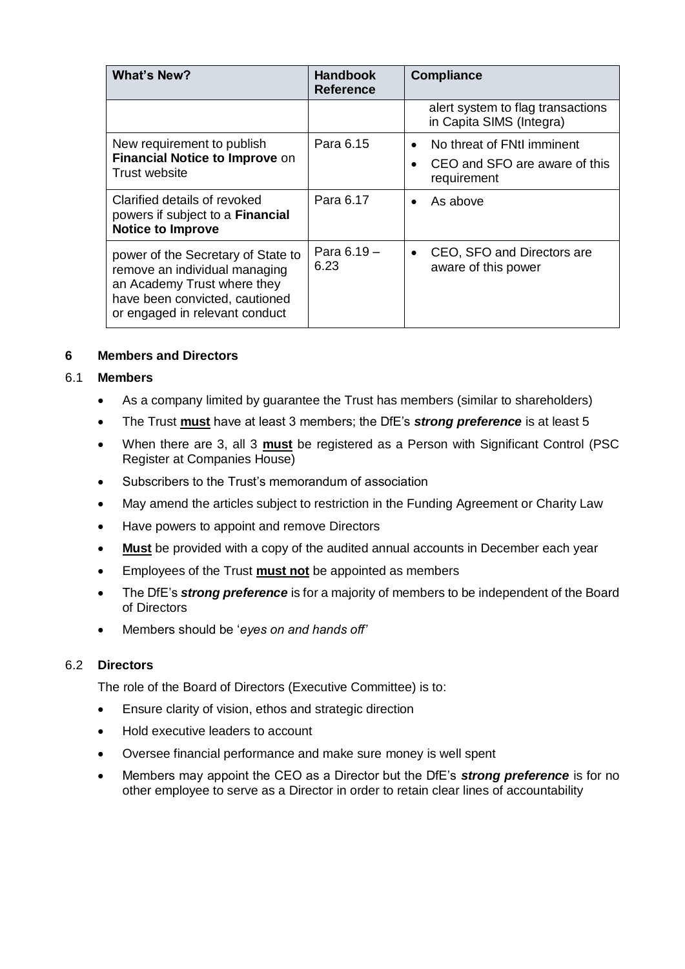| <b>What's New?</b>                                                                                                                                                     | <b>Handbook</b><br><b>Reference</b> | <b>Compliance</b>                                                                                    |
|------------------------------------------------------------------------------------------------------------------------------------------------------------------------|-------------------------------------|------------------------------------------------------------------------------------------------------|
|                                                                                                                                                                        |                                     | alert system to flag transactions<br>in Capita SIMS (Integra)                                        |
| New requirement to publish<br>Financial Notice to Improve on<br>Trust website                                                                                          | Para 6.15                           | No threat of FNtI imminent<br>$\bullet$<br>CEO and SFO are aware of this<br>$\bullet$<br>requirement |
| Clarified details of revoked<br>powers if subject to a Financial<br><b>Notice to Improve</b>                                                                           | Para 6.17                           | As above<br>$\bullet$                                                                                |
| power of the Secretary of State to<br>remove an individual managing<br>an Academy Trust where they<br>have been convicted, cautioned<br>or engaged in relevant conduct | Para $6.19 -$<br>6.23               | CEO, SFO and Directors are<br>$\bullet$<br>aware of this power                                       |

## **6 Members and Directors**

#### 6.1 **Members**

- As a company limited by guarantee the Trust has members (similar to shareholders)
- The Trust **must** have at least 3 members; the DfE's *strong preference* is at least 5
- When there are 3, all 3 **must** be registered as a Person with Significant Control (PSC Register at Companies House)
- Subscribers to the Trust's memorandum of association
- May amend the articles subject to restriction in the Funding Agreement or Charity Law
- Have powers to appoint and remove Directors
- **Must** be provided with a copy of the audited annual accounts in December each year
- Employees of the Trust **must not** be appointed as members
- The DfE's *strong preference* is for a majority of members to be independent of the Board of Directors
- Members should be '*eyes on and hands off'*

## 6.2 **Directors**

The role of the Board of Directors (Executive Committee) is to:

- **Ensure clarity of vision, ethos and strategic direction**
- Hold executive leaders to account
- Oversee financial performance and make sure money is well spent
- Members may appoint the CEO as a Director but the DfE's *strong preference* is for no other employee to serve as a Director in order to retain clear lines of accountability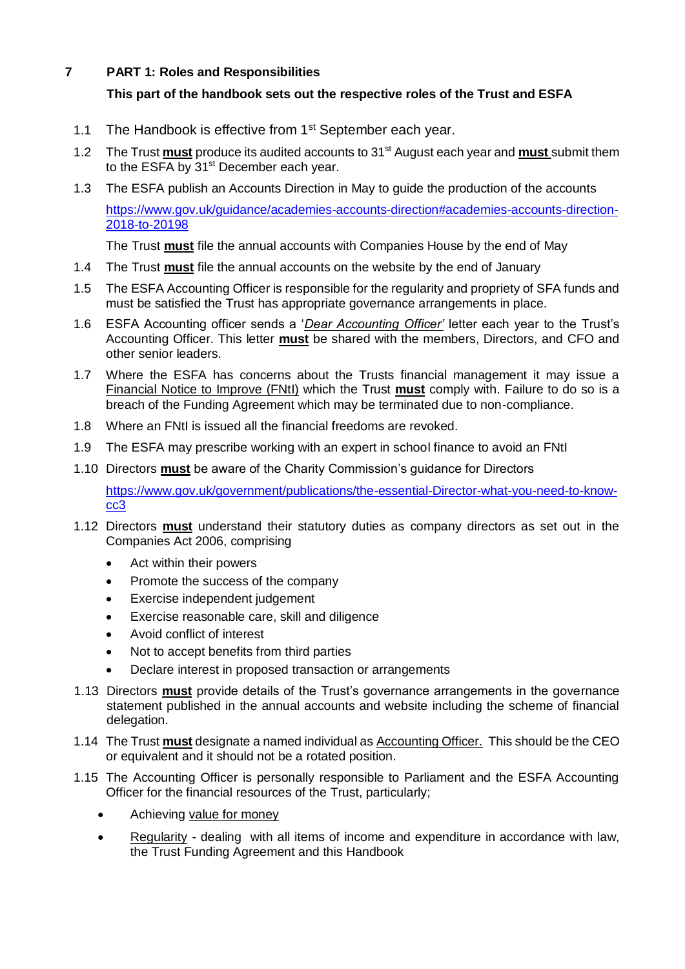# **7 PART 1: Roles and Responsibilities**

# **This part of the handbook sets out the respective roles of the Trust and ESFA**

- 1.1 The Handbook is effective from 1<sup>st</sup> September each year.
- 1.2 The Trust **must** produce its audited accounts to 31st August each year and **must** submit them to the ESFA by 31<sup>st</sup> December each year.
- 1.3 The ESFA publish an Accounts Direction in May to guide the production of the accounts [https://www.gov.uk/guidance/academies-accounts-direction#academies-accounts-direction-](https://www.gov.uk/guidance/academies-accounts-direction#academies-accounts-direction-2018-to-20198)[2018-to-20198](https://www.gov.uk/guidance/academies-accounts-direction#academies-accounts-direction-2018-to-20198)

The Trust **must** file the annual accounts with Companies House by the end of May

- 1.4 The Trust **must** file the annual accounts on the website by the end of January
- 1.5 The ESFA Accounting Officer is responsible for the regularity and propriety of SFA funds and must be satisfied the Trust has appropriate governance arrangements in place.
- 1.6 ESFA Accounting officer sends a '*Dear Accounting Officer'* letter each year to the Trust's Accounting Officer. This letter **must** be shared with the members, Directors, and CFO and other senior leaders.
- 1.7 Where the ESFA has concerns about the Trusts financial management it may issue a Financial Notice to Improve (FNtI) which the Trust **must** comply with. Failure to do so is a breach of the Funding Agreement which may be terminated due to non-compliance.
- 1.8 Where an FNtI is issued all the financial freedoms are revoked.
- 1.9 The ESFA may prescribe working with an expert in school finance to avoid an FNtI
- 1.10 Directors **must** be aware of the Charity Commission's guidance for Directors

[https://www.gov.uk/government/publications/the-essential-Director-what-you-need-to-know](https://www.gov.uk/government/publications/the-essential-trustee-what-you-need-to-know-cc3)[cc3](https://www.gov.uk/government/publications/the-essential-trustee-what-you-need-to-know-cc3)

- 1.12 Directors **must** understand their statutory duties as company directors as set out in the Companies Act 2006, comprising
	- Act within their powers
	- Promote the success of the company
	- Exercise independent judgement
	- Exercise reasonable care, skill and diligence
	- Avoid conflict of interest
	- Not to accept benefits from third parties
	- Declare interest in proposed transaction or arrangements
- 1.13 Directors **must** provide details of the Trust's governance arrangements in the governance statement published in the annual accounts and website including the scheme of financial delegation.
- 1.14 The Trust **must** designate a named individual as Accounting Officer. This should be the CEO or equivalent and it should not be a rotated position.
- 1.15 The Accounting Officer is personally responsible to Parliament and the ESFA Accounting Officer for the financial resources of the Trust, particularly;
	- Achieving value for money
	- Regularity dealing with all items of income and expenditure in accordance with law, the Trust Funding Agreement and this Handbook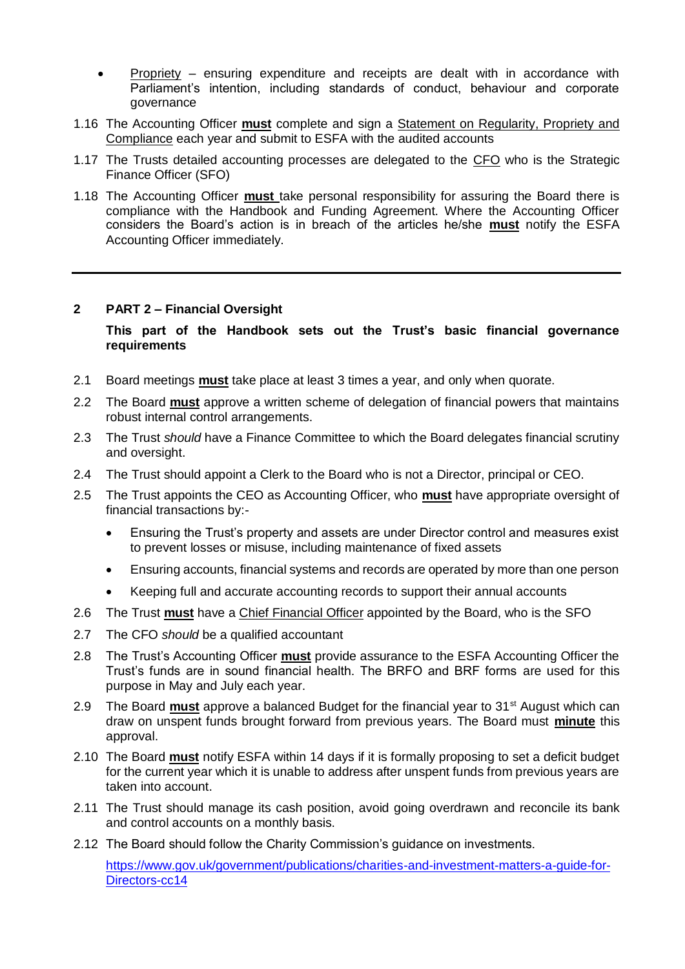- Propriety ensuring expenditure and receipts are dealt with in accordance with Parliament's intention, including standards of conduct, behaviour and corporate governance
- 1.16 The Accounting Officer **must** complete and sign a Statement on Regularity, Propriety and Compliance each year and submit to ESFA with the audited accounts
- 1.17 The Trusts detailed accounting processes are delegated to the CFO who is the Strategic Finance Officer (SFO)
- 1.18 The Accounting Officer **must** take personal responsibility for assuring the Board there is compliance with the Handbook and Funding Agreement. Where the Accounting Officer considers the Board's action is in breach of the articles he/she **must** notify the ESFA Accounting Officer immediately.

#### **2 PART 2 – Financial Oversight**

**This part of the Handbook sets out the Trust's basic financial governance requirements**

- 2.1 Board meetings **must** take place at least 3 times a year, and only when quorate.
- 2.2 The Board **must** approve a written scheme of delegation of financial powers that maintains robust internal control arrangements.
- 2.3 The Trust *should* have a Finance Committee to which the Board delegates financial scrutiny and oversight.
- 2.4 The Trust should appoint a Clerk to the Board who is not a Director, principal or CEO.
- 2.5 The Trust appoints the CEO as Accounting Officer, who **must** have appropriate oversight of financial transactions by:-
	- Ensuring the Trust's property and assets are under Director control and measures exist to prevent losses or misuse, including maintenance of fixed assets
	- Ensuring accounts, financial systems and records are operated by more than one person
	- Keeping full and accurate accounting records to support their annual accounts
- 2.6 The Trust **must** have a Chief Financial Officer appointed by the Board, who is the SFO
- 2.7 The CFO *should* be a qualified accountant
- 2.8 The Trust's Accounting Officer **must** provide assurance to the ESFA Accounting Officer the Trust's funds are in sound financial health. The BRFO and BRF forms are used for this purpose in May and July each year.
- 2.9 The Board **must** approve a balanced Budget for the financial year to 31st August which can draw on unspent funds brought forward from previous years. The Board must **minute** this approval.
- 2.10 The Board **must** notify ESFA within 14 days if it is formally proposing to set a deficit budget for the current year which it is unable to address after unspent funds from previous years are taken into account.
- 2.11 The Trust should manage its cash position, avoid going overdrawn and reconcile its bank and control accounts on a monthly basis.
- 2.12 The Board should follow the Charity Commission's guidance on investments.

[https://www.gov.uk/government/publications/charities-and-investment-matters-a-guide-for-](https://www.gov.uk/government/publications/charities-and-investment-matters-a-guide-for-trustees-cc14)[Directors-cc14](https://www.gov.uk/government/publications/charities-and-investment-matters-a-guide-for-trustees-cc14)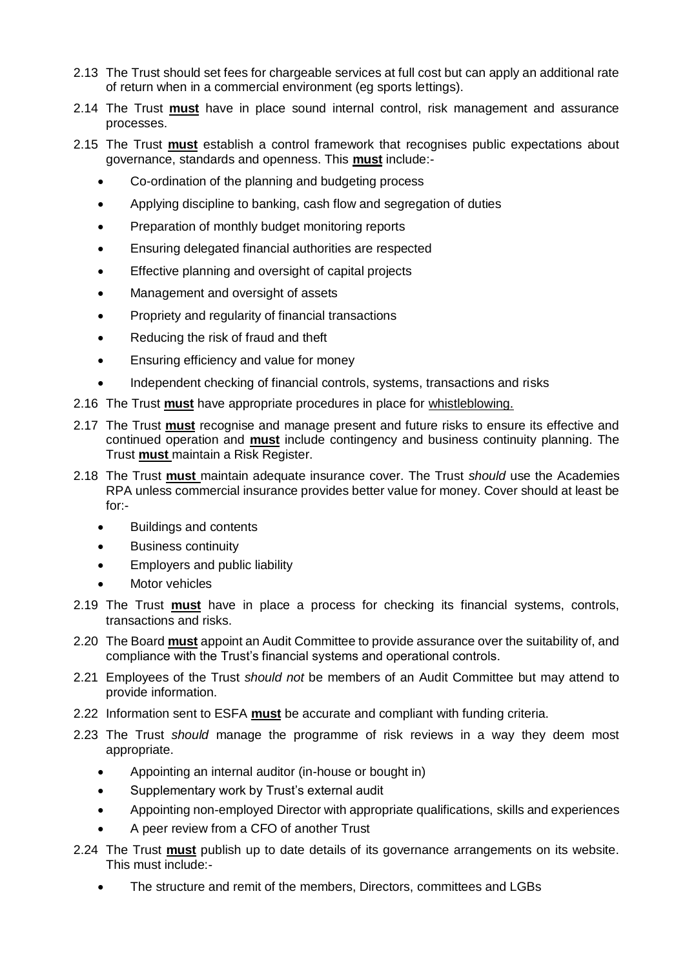- 2.13 The Trust should set fees for chargeable services at full cost but can apply an additional rate of return when in a commercial environment (eg sports lettings).
- 2.14 The Trust **must** have in place sound internal control, risk management and assurance processes.
- 2.15 The Trust **must** establish a control framework that recognises public expectations about governance, standards and openness. This **must** include:-
	- Co-ordination of the planning and budgeting process
	- Applying discipline to banking, cash flow and segregation of duties
	- Preparation of monthly budget monitoring reports
	- Ensuring delegated financial authorities are respected
	- Effective planning and oversight of capital projects
	- Management and oversight of assets
	- Propriety and regularity of financial transactions
	- Reducing the risk of fraud and theft
	- **Ensuring efficiency and value for money**
	- Independent checking of financial controls, systems, transactions and risks
- 2.16 The Trust **must** have appropriate procedures in place for whistleblowing.
- 2.17 The Trust **must** recognise and manage present and future risks to ensure its effective and continued operation and **must** include contingency and business continuity planning. The Trust **must** maintain a Risk Register.
- 2.18 The Trust **must** maintain adequate insurance cover. The Trust *should* use the Academies RPA unless commercial insurance provides better value for money. Cover should at least be for:-
	- Buildings and contents
	- Business continuity
	- Employers and public liability
	- Motor vehicles
- 2.19 The Trust **must** have in place a process for checking its financial systems, controls, transactions and risks.
- 2.20 The Board **must** appoint an Audit Committee to provide assurance over the suitability of, and compliance with the Trust's financial systems and operational controls.
- 2.21 Employees of the Trust *should not* be members of an Audit Committee but may attend to provide information.
- 2.22 Information sent to ESFA **must** be accurate and compliant with funding criteria.
- 2.23 The Trust *should* manage the programme of risk reviews in a way they deem most appropriate.
	- Appointing an internal auditor (in-house or bought in)
	- Supplementary work by Trust's external audit
	- Appointing non-employed Director with appropriate qualifications, skills and experiences
	- A peer review from a CFO of another Trust
- 2.24 The Trust **must** publish up to date details of its governance arrangements on its website. This must include:-
	- The structure and remit of the members, Directors, committees and LGBs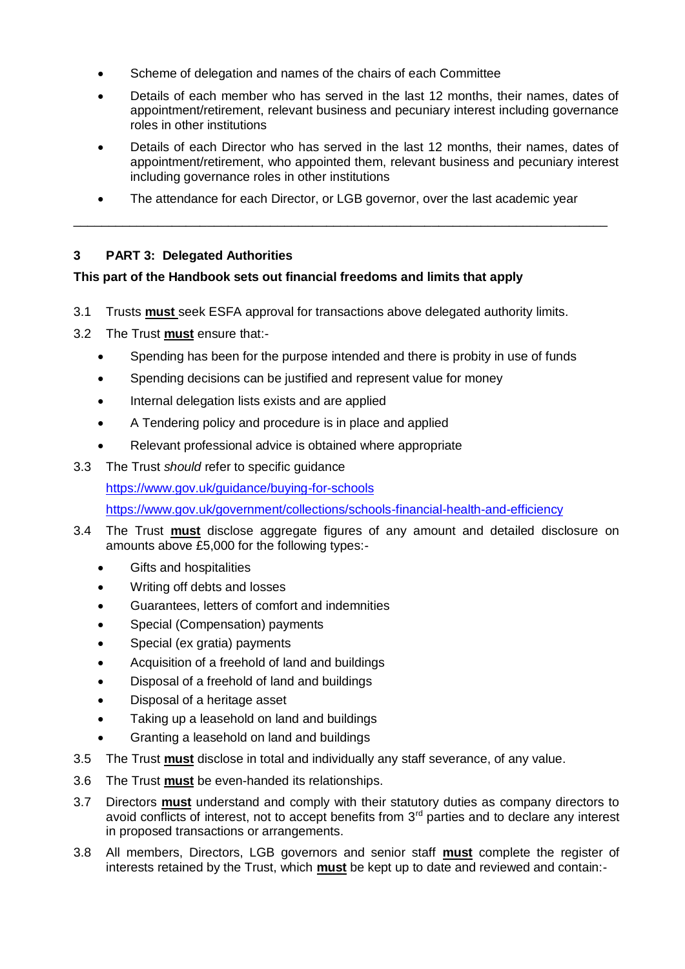- Scheme of delegation and names of the chairs of each Committee
- Details of each member who has served in the last 12 months, their names, dates of appointment/retirement, relevant business and pecuniary interest including governance roles in other institutions
- Details of each Director who has served in the last 12 months, their names, dates of appointment/retirement, who appointed them, relevant business and pecuniary interest including governance roles in other institutions
- The attendance for each Director, or LGB governor, over the last academic year \_\_\_\_\_\_\_\_\_\_\_\_\_\_\_\_\_\_\_\_\_\_\_\_\_\_\_\_\_\_\_\_\_\_\_\_\_\_\_\_\_\_\_\_\_\_\_\_\_\_\_\_\_\_\_\_\_\_\_\_\_\_\_\_\_\_\_\_\_\_\_\_\_\_\_\_

# **3 PART 3: Delegated Authorities**

# **This part of the Handbook sets out financial freedoms and limits that apply**

- 3.1 Trusts **must** seek ESFA approval for transactions above delegated authority limits.
- 3.2 The Trust **must** ensure that:-
	- Spending has been for the purpose intended and there is probity in use of funds
	- Spending decisions can be justified and represent value for money
	- Internal delegation lists exists and are applied
	- A Tendering policy and procedure is in place and applied
	- Relevant professional advice is obtained where appropriate
- 3.3 The Trust *should* refer to specific guidance

<https://www.gov.uk/guidance/buying-for-schools>

<https://www.gov.uk/government/collections/schools-financial-health-and-efficiency>

- 3.4 The Trust **must** disclose aggregate figures of any amount and detailed disclosure on amounts above £5,000 for the following types:-
	- Gifts and hospitalities
	- Writing off debts and losses
	- Guarantees, letters of comfort and indemnities
	- Special (Compensation) payments
	- Special (ex gratia) payments
	- Acquisition of a freehold of land and buildings
	- Disposal of a freehold of land and buildings
	- Disposal of a heritage asset
	- Taking up a leasehold on land and buildings
	- Granting a leasehold on land and buildings
- 3.5 The Trust **must** disclose in total and individually any staff severance, of any value.
- 3.6 The Trust **must** be even-handed its relationships.
- 3.7 Directors **must** understand and comply with their statutory duties as company directors to avoid conflicts of interest, not to accept benefits from 3<sup>rd</sup> parties and to declare any interest in proposed transactions or arrangements.
- 3.8 All members, Directors, LGB governors and senior staff **must** complete the register of interests retained by the Trust, which **must** be kept up to date and reviewed and contain:-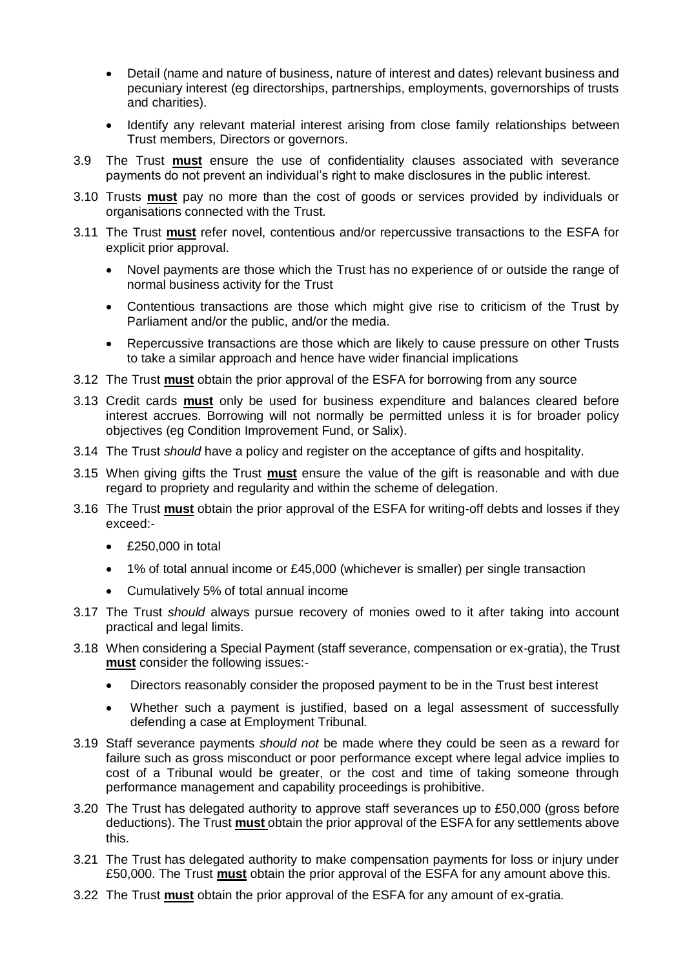- Detail (name and nature of business, nature of interest and dates) relevant business and pecuniary interest (eg directorships, partnerships, employments, governorships of trusts and charities).
- Identify any relevant material interest arising from close family relationships between Trust members, Directors or governors.
- 3.9 The Trust **must** ensure the use of confidentiality clauses associated with severance payments do not prevent an individual's right to make disclosures in the public interest.
- 3.10 Trusts **must** pay no more than the cost of goods or services provided by individuals or organisations connected with the Trust.
- 3.11 The Trust **must** refer novel, contentious and/or repercussive transactions to the ESFA for explicit prior approval.
	- Novel payments are those which the Trust has no experience of or outside the range of normal business activity for the Trust
	- Contentious transactions are those which might give rise to criticism of the Trust by Parliament and/or the public, and/or the media.
	- Repercussive transactions are those which are likely to cause pressure on other Trusts to take a similar approach and hence have wider financial implications
- 3.12 The Trust **must** obtain the prior approval of the ESFA for borrowing from any source
- 3.13 Credit cards **must** only be used for business expenditure and balances cleared before interest accrues. Borrowing will not normally be permitted unless it is for broader policy objectives (eg Condition Improvement Fund, or Salix).
- 3.14 The Trust *should* have a policy and register on the acceptance of gifts and hospitality.
- 3.15 When giving gifts the Trust **must** ensure the value of the gift is reasonable and with due regard to propriety and regularity and within the scheme of delegation.
- 3.16 The Trust **must** obtain the prior approval of the ESFA for writing-off debts and losses if they exceed:-
	- £250,000 in total
	- 1% of total annual income or £45,000 (whichever is smaller) per single transaction
	- Cumulatively 5% of total annual income
- 3.17 The Trust *should* always pursue recovery of monies owed to it after taking into account practical and legal limits.
- 3.18 When considering a Special Payment (staff severance, compensation or ex-gratia), the Trust **must** consider the following issues:-
	- Directors reasonably consider the proposed payment to be in the Trust best interest
	- Whether such a payment is justified, based on a legal assessment of successfully defending a case at Employment Tribunal.
- 3.19 Staff severance payments *should not* be made where they could be seen as a reward for failure such as gross misconduct or poor performance except where legal advice implies to cost of a Tribunal would be greater, or the cost and time of taking someone through performance management and capability proceedings is prohibitive.
- 3.20 The Trust has delegated authority to approve staff severances up to £50,000 (gross before deductions). The Trust **must** obtain the prior approval of the ESFA for any settlements above this.
- 3.21 The Trust has delegated authority to make compensation payments for loss or injury under £50,000. The Trust **must** obtain the prior approval of the ESFA for any amount above this.
- 3.22 The Trust **must** obtain the prior approval of the ESFA for any amount of ex-gratia.